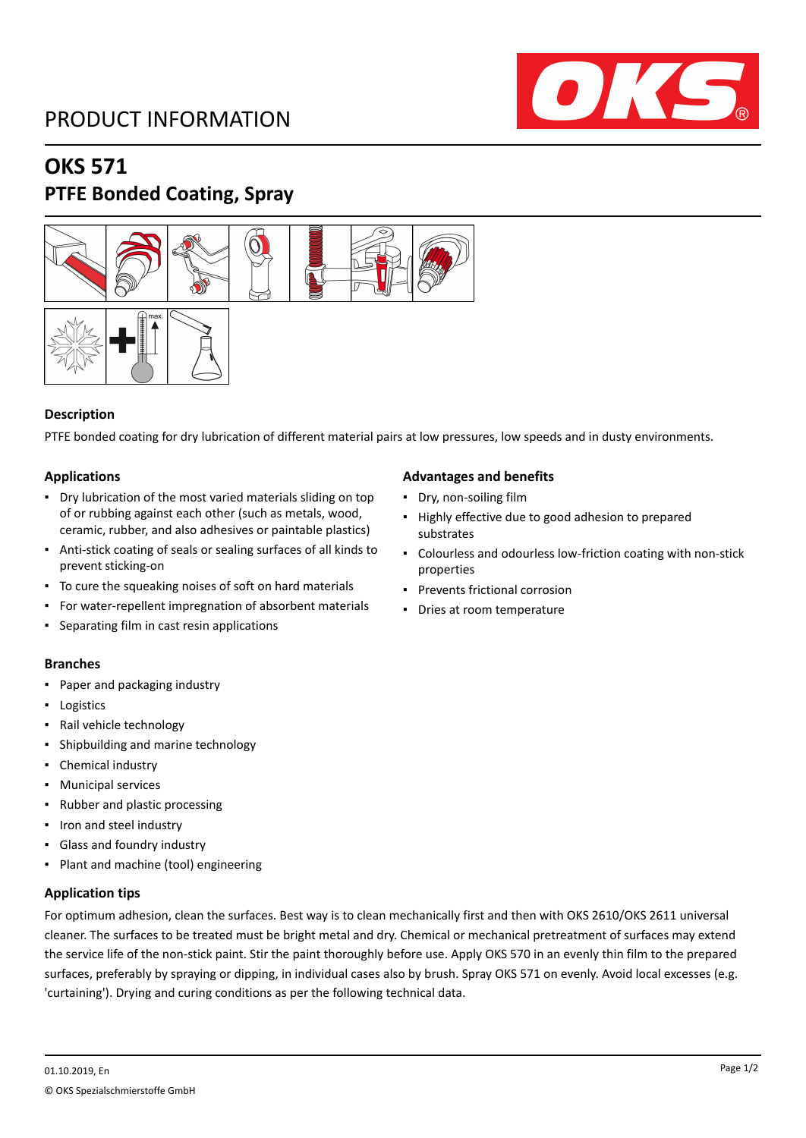# PRODUCT INFORMATION



# **OKS 571 PTFE Bonded Coating, Spray**



# **Description**

PTFE bonded coating for dry lubrication of different material pairs at low pressures, low speeds and in dusty environments.

# **Applications**

- Dry lubrication of the most varied materials sliding on top of or rubbing against each other (such as metals, wood, ceramic, rubber, and also adhesives or paintable plastics)
- Anti-stick coating of seals or sealing surfaces of all kinds to prevent sticking-on
- To cure the squeaking noises of soft on hard materials
- For water-repellent impregnation of absorbent materials
- Separating film in cast resin applications

# **Branches**

- Paper and packaging industry
- Logistics
- Rail vehicle technology
- Shipbuilding and marine technology
- Chemical industry
- Municipal services
- Rubber and plastic processing
- Iron and steel industry
- Glass and foundry industry
- Plant and machine (tool) engineering

# **Application tips**

For optimum adhesion, clean the surfaces. Best way is to clean mechanically first and then with OKS 2610/OKS 2611 universal cleaner. The surfaces to be treated must be bright metal and dry. Chemical or mechanical pretreatment of surfaces may extend the service life of the non-stick paint. Stir the paint thoroughly before use. Apply OKS 570 in an evenly thin film to the prepared surfaces, preferably by spraying or dipping, in individual cases also by brush. Spray OKS 571 on evenly. Avoid local excesses (e.g. 'curtaining'). Drying and curing conditions as per the following technical data.

#### **Advantages and benefits**

- Dry, non-soiling film
- Highly effective due to good adhesion to prepared substrates
- Colourless and odourless low-friction coating with non-stick properties
- Prevents frictional corrosion
- Dries at room temperature